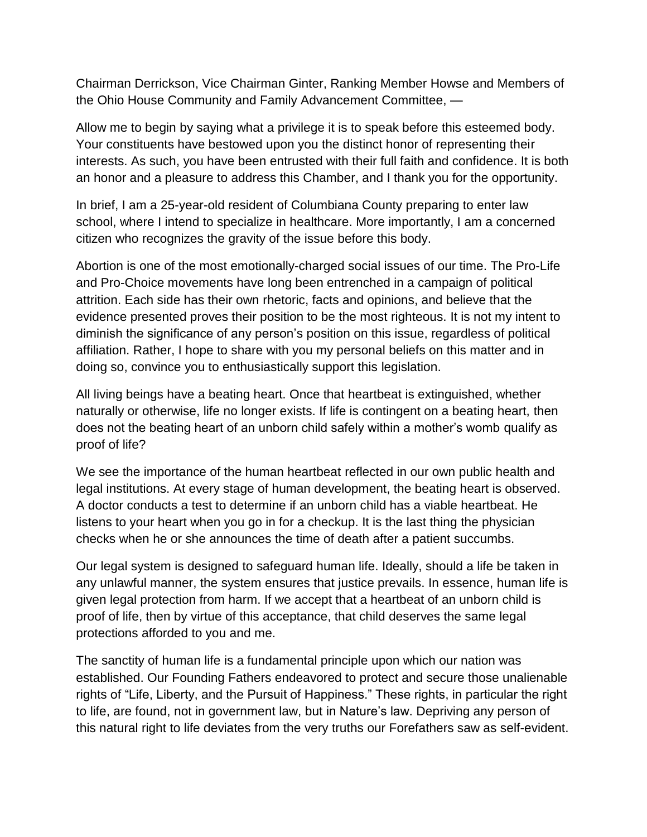Chairman Derrickson, Vice Chairman Ginter, Ranking Member Howse and Members of the Ohio House Community and Family Advancement Committee, —

Allow me to begin by saying what a privilege it is to speak before this esteemed body. Your constituents have bestowed upon you the distinct honor of representing their interests. As such, you have been entrusted with their full faith and confidence. It is both an honor and a pleasure to address this Chamber, and I thank you for the opportunity.

In brief, I am a 25-year-old resident of Columbiana County preparing to enter law school, where I intend to specialize in healthcare. More importantly, I am a concerned citizen who recognizes the gravity of the issue before this body.

Abortion is one of the most emotionally-charged social issues of our time. The Pro-Life and Pro-Choice movements have long been entrenched in a campaign of political attrition. Each side has their own rhetoric, facts and opinions, and believe that the evidence presented proves their position to be the most righteous. It is not my intent to diminish the significance of any person's position on this issue, regardless of political affiliation. Rather, I hope to share with you my personal beliefs on this matter and in doing so, convince you to enthusiastically support this legislation.

All living beings have a beating heart. Once that heartbeat is extinguished, whether naturally or otherwise, life no longer exists. If life is contingent on a beating heart, then does not the beating heart of an unborn child safely within a mother's womb qualify as proof of life?

We see the importance of the human heartbeat reflected in our own public health and legal institutions. At every stage of human development, the beating heart is observed. A doctor conducts a test to determine if an unborn child has a viable heartbeat. He listens to your heart when you go in for a checkup. It is the last thing the physician checks when he or she announces the time of death after a patient succumbs.

Our legal system is designed to safeguard human life. Ideally, should a life be taken in any unlawful manner, the system ensures that justice prevails. In essence, human life is given legal protection from harm. If we accept that a heartbeat of an unborn child is proof of life, then by virtue of this acceptance, that child deserves the same legal protections afforded to you and me.

The sanctity of human life is a fundamental principle upon which our nation was established. Our Founding Fathers endeavored to protect and secure those unalienable rights of "Life, Liberty, and the Pursuit of Happiness." These rights, in particular the right to life, are found, not in government law, but in Nature's law. Depriving any person of this natural right to life deviates from the very truths our Forefathers saw as self-evident.